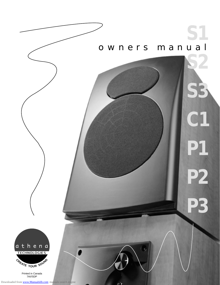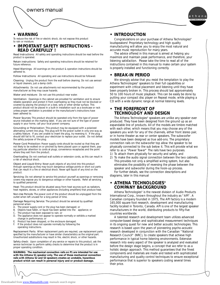



### **• WARNING**

To reduce the risk of fire or electric shock, do not expose this product to rain or moisture.

### **• IMPORTANT SAFETY INSTRUCTIONS - READ CAREFULLY !**

Read Instructions: All safety and operating instructions should be read before the product is operated.

Retain instructions: Safety and operating instructions should be retained for future reference.

Heed Warnings: All warnings on the product & operation instructions should be adhered to.

Follow Instructions: All operating and use instructions should be followed.

Cleaning: Unplug the product from the wall before cleaning. Do not use aerosol or liquid cleaners, just a damp cloth.

Attachments: Do not use attachments not recommended by the product manufacturer as they may cause hazards.

Water and moisture: Do not use this product near water.

Ventilation: Openings in the cabinet are provided for ventilation and to ensure reliable operation and protect it from overheating so they must not be blocked or covered by placing the product on a bed, sofa or other similar surface. This product should not be placed in a built-in installation such as a bookcase or rack unless proper ventilation is provided or the manufacturer's instructions have been adhered to.

Power Sources: This product should be operated only from the type of power source indicated on the marking label. If you are not sure of the type of power supply in your home, call your local power company.

Grounding or Polarization: This product may be equipped with a polarized alternating current line plug. This plug will fit the power outlet in only one way as a safety feature. If you are unable to insert the plug, try reversing it. If the plug should still fail to fit, contact your electrician to replace your outlet. Do not defeat the safety purpose of the plug.

Power Cord Protection: Power supply cords should be routed so that they are not likely to be walked on or pinched by items placed upon or against them, paying particular attention to cords at plugs, convenience receptacles and the point where they exit from the product.

Overloading: Do not overload wall outlets or extension cords, as this can result in a risk of electrical shock.

Object and Liquid Entry: Never push objects of any kind into this product through openings as they may touch dangerous voltage points or short out parts that can result in a fire or electrical shock. Never spill liquid of any kind on the product.

Servicing: Do not attempt to service this product yourself as openings or removing covers may expose you to dangerous voltage or other hazards. Refer all servicing to qualified personnel.

Heat: This product should be situated away from heat sources such as radiators, heat registers, stoves, or other appliances (including amplifiers) that produce heat.

Non-Use Periods: The power cord of the product should be unplugged from the outlet when left unused for a long period of time.

Damage Requiring Service: The product should be serviced by qualified

- personnel when:
- A. The power supply cord or the plug has been damaged; or B. Objects have fallen, or liquid has been spilled into the are Objects have fallen, or liquid has been spilled into the appliance; or
- The product has been exposed to rain; or
- D. The appliance does not appear to operate normally or exhibits a marked change in performance; or
- Product has been dropped, or the enclosure damaged.
- F. If the product does not operate normally by following the operating instructions.

Replacement Parts: When replacement parts are required, use replacement parts specified by the manufacturer or have similar characteristics as the original part. Unauthorized substitutions may result in fire, electric shock, or other hazards.

Safety check: Upon completion of any service or repairs to this product, ask the service technician to perform safety checks to determine that the product is in proper operating condition.

*WARNING: The mechanical connection rails on P1 are intended for use with the Athena S1 speaker only. The use of these mechanical connection rails with Athena S2 and S3 speakers creates an unstable, hazardous product which can result in personal injury and or product damage.* 

### **• INTRODUCTION**

Congratulations on your purchase of Athena Technologies® loudspeakers! Proprietary technology and high quality manufacturing will allow you to enjoy the most natural and accurate music reproduction for many years.

The advice offered in this manual is aimed at helping you maximize and maintain peak performance, and therefore, your listening satisfaction. Please take the time to read all of the instructions contained in this manual to make certain your system is properly installed and functioning correctly.

### **• BREAK-IN PERIOD**

We strongly advise that you resist the temptation to play the Athena Technologies® speakers to their full capabilities or experiment with critical placement and listening until they have been properly broken in. This process should last approximately 50 to 100 hours of music playback. This can be easily be done by putting your compact disc player on Repeat mode, while playing a CD with a wide dynamic range at normal listening levels.

### **• THE FOREFRONT OF TECHNOLOGY AND DESIGN**

The Athena Technologies® speakers are unlike any speaker ever produced. They have been designed from the ground up as an expandable line of products. All of the models are timbre matched with each other, which means that you may choose any of the speakers you wish for any of the channels, either front stereo pair, or in home theater as rear or center speakers. The subwoofer models have been designed as true add-ons. The proprietary connection rails on the subwoofer top allow the speaker to be physically connected to the sub below it. This will provide what we refer to as a "Power Tower" The rails have two purposes.

- 1) To attach them physically for security and safety, and
- 2) To make the audio signal connection between the two cabinets. This provides not only a simplified wiring system, but also eliminates the possibility of reversing the phase between the speaker and subwoofer during the hook-up process. For further details, see the connection descriptions and diagrams, later in this manual

### **• ATHENA TECHNOLOGIES® COMPANY BACKGROUND**

Athena Technologies® is the newest division of Audio Products International Corp., known throughout the industry as "API". A Canadian company founded in 1975, The API factory is a modern 165,000 square foot research, development and manufacturing facility located in Toronto, Canada. API is one of the largest speaker manufacturers in the world, distributing products to fifty-five countries worldwide.

A talented research and development team utilizes advanced computer-based design and sophisticated measurement techniques in its ongoing quest for new and better acoustic technologies. This research is based upon the years of pioneering psycho-acoustic research developed in conjunction with the Canadian "National Research Council" (NRC), to create speakers that achieve high performance in typical home listening environments. Extensive research into every aspect of the speaker is analyzed and evaluated before the design stage begins, a concept that we refer to as a holistic design approach. This method guarantees that the finest components and materials are made and tested with sophisticated manufacturing and quality control techniques to ensure exceptional performance that is superior to speakers costing several times their price.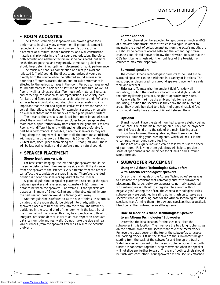

### **• ROOM ACOUSTICS**

The Athena Technologies® speakers can provide great sonic performance in virtually any environment if proper placement is respected in a good listening environment. Factors such as placement of furniture, room dimensions, and wall construction materials all play roles in the final sound reproduction. Therefore, both acoustic and aesthetic factors must be considered, but since aesthetics are personal and vary greatly, some basic guidelines should help determining optimum placement for sonic performance.

The music we hear is a combination of direct (on axis) and reflected (off axis) sound. The direct sound arrives at your ears directly from the source while the reflected sound arrives after bouncing off room surfaces. The on and off axis performance is affected by the various surfaces in the room. Various surfaces reflect sound differently so a balance of soft and hard furniture, as well as floor or wall hangings are ideal. Too much soft material, like sofas and carpeting, can deaden sound reproduction. Conversely, hard furniture and floors can produce a harsh, brighter sound. Reflective surfaces have individual sound absorption characteristics so it is important that the left and right reflective walls have the same, or very similar, reflective qualities. For example, a tapestry or curtain on wall will absorb more frequencies than a plain painted surface.

The distance the speakers are placed from room boundaries can affect the amount of bass. Placement closer to corners generates more bass output, farther away from corners will generate less bass. Rooms with different height, width and length are preferable for best bass performance. If possible, place the speakers so they are firing along the longest wall in order to fill the room most efficiently with music. In other words, if the room is 10-feet (3m) wide and 20-feet (6m) deep, place them along the 10-foot (3m) wall. There will be less wall reflection and therefore a more natural sound.

### **• SPEAKER PLACEMENT**

#### **Stereo front speaker pair**

For best stereo imaging, the left and right speakers should be the same distance from their respective side walls. If the distance from one speaker to the listener is very different from the other it can affect the soundstage or stereo imaging. Therefore, the ideal position is having the speakers equidistant to the listener.

A general guideline for speaker placement is to set up the space between speaker and listener at approximately 1-1/2 times the distance between the speakers. For example, if the speakers are placed a minimum of 6-feet (1.8m) apart (the absolute minimum), the best seating position would be 9-feet (2.4m) away.

Another guideline is referred to as the rule of thirds. This formula dictates that the room should be divided into thirds, with the speakers placed a third of the way into the room. The listener is positioned in the second third of the room, with the last third of the room behind the listener. This may be impractical or difficult to integrate into some decors, so try to at least respect an adequate distance from side and rear walls. Do not make the side and rear wall distances (from the speaker) similar as it will cause acoustic problems.

#### **Center Channel**

A center channel can be expected to reproduce as much as 60% of a movie's soundtrack, most of which is dialogue. In order to maintain the effect of voices emanating from the actor's mouth, the C1 should be centrally located between the left and right main channels and placed above or below the television. Be sure that the C1's front baffle is flush with the front face of the television or cabinet to maximize dispersion.

#### **Surround speakers**

The chosen Athena Technologies® products to be used as the surround speakers can be positioned in a variety of locations. The most popular places used for surround speaker placement are side wall, and rear wall.

Side walls: To maximize the ambient field for side wall mounting, position the speakers adjacent to and slightly behind the primary listening area at a height of approximately 6 feet.

Rear walls: To maximize the ambient field for rear wall mounting, position the speakers so they flank the main listening area. They should be raised to a height of approximately 6 feet and should ideally have a space of 6 feet between them.

#### **Optional**

Stand mount: Place the stand mounted speakers slightly behind and on each side of the main listening area. They can be anywhere from 1-6 feet behind or to the side of the main listening area.

If you have followed these guidelines, then there should be speakers surrounding your listening area, which will result in the encompassing surround sound feeling.

These are basic guidelines and can be tailored to suit the décor of your room. Following these guidelines will help to provide a sense of spaciousness and ambience for all music and surround sound formats.

### **• SUBWOOFER PLACEMENT**

#### **Using the Athena Technologies Subwoofers with Athena Technologies® speakers**

One of the main goals of the Athena Technologies® series was to eliminate the problems that commonly arise with subwoofer placement. The large, bulky box appearance normally associated with subwoofers is difficult to integrate into a room without negatively influencing the décor. The Athena Technologies® series subwoofers were designed in a slim, upright fashion to serve as a speaker stand and docking base for the Athena Technologies® series speakers, transforming them into powered speakers that acoustically blend better than subwoofer satellite systems.

#### **How to Dock an Athena Technologies® Speaker to an Athena Technologies® Subwoofer**

Determine the ideal location for the speakers. Place the subwoofer in this location. Then, remove the two long rubber strips on the bottom, front of the speaker that cover the metal tracks. Remove the plastic cover on the top of the subwoofer, to expose the docking tracks. Lift up the speaker to the subwoofer's height, starting from the back of the subwoofer and line up the tracks. Slide the speaker forward on to the subwoofer, ensuring that both tracks are connected together. Stop movement when the speaker will not slide any further forward. The rear of both cabinets should be flush with each other. Your speakers are now securely attached.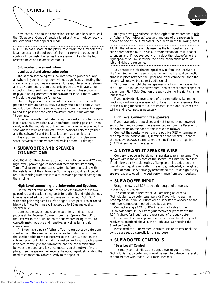

Now continue on to the connection section, and be sure to read the "Subwoofer Controls" section to adjust the controls correctly for use with your chosen speaker model.

*NOTE: Do not dispose of the plastic cover from the subwoofer top. It can be used on the subwoofer's front to cover the operational controls if you wish. It attaches like a speaker grille into the four recessed holes on the amplifier module.* 

#### **Subwoofer placement when used as a stand alone subwoofer**

The Athena Technologies® subwoofer can be placed virtually anywhere in your listening room without significantly affecting the stereo image of your main speakers. However, interactions between any subwoofer and a room's acoustic properties will have some impact on the overall bass performance. Reading this section will help you find a placement for the subwoofer in your room, which will yield the best bass performance.

Start off by placing the subwoofer near a corner, which will produce maximum bass output, but may result in a "boomy" bass reproduction. Move the subwoofer away from the corner in stages to find the position that yields maximum bass output without "boominess".

An effective method of determining the ideal subwoofer location is to place the subwoofer in your preferred listening position. Then, slowly walk the boundaries of the room until you've determined the spot where bass is at it's fullest. Switch positions between yourself and the subwoofer and the ideal location has been located.

It is important to leave at least 4 inches (10cm) of clearance space between the subwoofer and walls or room furnishings.

### **• SUBWOOFER AND SPEAKER CONNECTIONS**

*CAUTION: On the subwoofer, do not use both low level (RCA) and high level (Speaker type connections) methods simultaneously. Turn off all power in your stereo system before proceeding with the installation of the subwoofer.Not doing so could result could result in shorting from the speakers leads and potential damage to the amplifier.* 

#### **High Level connecting the Subwoofer and Speakers**

On the rear of your Athena Technologies® subwoofer are two pairs of red and black binding posts for both left and right channel. One set is marked "Sub In" and one set is marked "Spkr Out", with each pair designated as left or right. Each post is color-coded black/red. These terminals will accept up to 16-gauge quality speaker wire.

Connect the system one channel at a time, and start your process at the Receiver. Connect from the "Speaker Output" on the Receiver to the "Sub In" on the subwoofer, being careful to correctly match positive and negative, as well as left and right connections.

A) If you have a pair of Athena Technologies® subwoofers and speakers, and they are docked as per earlier instructions, connect the speaker cable from the Receiver to the "Left Sub-In" on the subwoofer on **both** left and right speakers. As long as each speaker is docked correctly to the subwoofer, and the connection strap between the upper and lower connectors on the subwoofer are in place, then the speaker will receive the audio signal, eliminating the need to connect any cables directly to the speaker

B) If you have *one* Athena Technologies® subwoofer and a *pair* of Athena Technologies® speakers, and one of the speakers is docked to one of the subwoofers, then perform the following steps:

*NOTE: The following example assumes the left speaker has the subwoofer docked to it. This is our recommendation as it is easier to understand. If however you wish to dock the subwoofer to the right speaker, you must reverse the below connections as far as left and right are concerned.*

1) Connect the left channel speaker wire from the Receiver to the "Left Sub In" on the subwoofer. As long as the gold connection strap is in place between the upper and lower connectors, then the speaker will receive the correct audio signal.

2) Connect the right channel speaker wire from the Receiver to the "Right Sub In" on the subwoofer. Then connect another speaker cable from "Right Spkr Out" on the subwoofer, to the right channel loudspeaker.

If you inadvertently reverse one of the connections (i.e, red to black), you will notice a severe lack of bass from your speakers. This is called wiring the system "Out of Phase". If this occurs, check the wiring and re-connect as necessary.

#### **High Level Connecting the Speakers**

If you have only the speakers, and not the matching powered subwoofer, simply connect the speaker cables from the Receiver to the connectors on the back of the speaker as follows.

Connect the speaker wire from the positive (RED +) terminal on the amp to the positive (RED+) terminal on the speaker. Connect the negative (BLACK-) terminal on the amplifier to the negative (BLACK-) terminal on the speaker.

### **• A NOTE ABOUT SPEAKER WIRE**

Contrary to popular belief, not all speaker wire is the same. The speaker wire is the only contact the speaker has with the amplifier. If thin, low quality cable, such as "lamp cord" is used, then the overall sound quality will suffer. This is true, particularly in lengths of 10 feet or more, so we strongly recommend the use of high quality speaker cable to obtain the best performance from your speakers.

### **• SUBWOOFER INPUT**

Using the low level RCA subwoofer output of a receiver, processor, or crossover.

This connection is used when you are using an Athena Technologies® subwoofer separately. Or if you wish to use the pre-amp signals from your Receiver or Processor as opposed to the high-level connection method described above.

Connect a single RCA to RCA interconnect cable to the "subwoofer output" jack from your receiver or processor to the RCA "subwoofer input" on the rear panel of the subwoofer.

In this case, the main speakers must be connected directly to the receiver as described above in the "High Level Connecting the Speakers" section.

Please read the "Subwoofer Controls" section to ensure all the controls are set-up correctly for this purpose.

### **• SUBWOOFER CONTROLS**

#### **"Bass Level" Control**

This rotary control adjusts the output level of your Athena Technologies® subwoofer and should be used to balance the level of the subwoofer with that of your main speakers.

Downloaded from [www.Manualslib.com](http://www.manualslib.com/) manuals search engine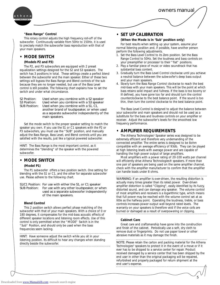

#### **"Bass Range" Control**

This rotary control adjusts the high frequency roll-off of the subwoofer. Continuously variable from 50Hz to 150Hz, it is used to precisely match the subwoofer bass reproduction with that of your main speakers.

#### **• MODE SWITCH**

#### **(Models P2 and P3)**

The P2, and P3 subwoofers are equipped with 2 preset equalization settings designed for the S2 and S3 speakers. The switch has 3 positions in total. These settings create a perfect blend between the subwoofer and the main speaker. Either of these two settings will bypass the Bass Range and Blend controls of the sub because they are no longer needed, but use of the Bass Level control is still possible. The following chart explains how to set the switch and under what circumstance.

| S <sub>2</sub> Position: | Used when you combine with a S2 speaker      |  |  |
|--------------------------|----------------------------------------------|--|--|
| S <sub>3</sub> Position: | Used when you combine with a S3 speaker      |  |  |
| <b>SUB Position:</b>     | Used when you combine with a S1, C1,         |  |  |
|                          | another brand of loudspeaker, or when used   |  |  |
|                          | as a separate subwoofer independently of the |  |  |
|                          | main speakers.                               |  |  |

Set the mode switch to the proper speaker setting to match the speaker you own. If you use the S1 or C1 speakers with the P2 or P3 subwoofers, you must use the "SUB" position, and manually adjust the Bass Range, Bass Level, and Blend controls until you are satisfied with the results, just like a typical powered subwoofer.

*HINT: The Bass Range is the most important control, as it determines the "blending" of the speaker with the powered subwoofer.*  

### **• MODE SWITCH**

#### **(Model P1)**

The P1 subwoofer offers a two position switch. One setting for blending with the S1 or C1, and the other for separate subwoofer use. Please adhere to the following chart.

S1/C1 Position: For use with either the S1, or C1 speaker SUB Position: For use with any other loudspeaker, or when used as a separate subwoofer independently of the main speakers.

#### **Blend Control**

This 2 position switch allows perfect phase matching of the subwoofer with that of your main speakers. With a choice of 0 or 180 degrees, it compensates for the mid-bass acoustic effects of different speaker locations and listening room effects. Use of this control is only permitted when the "MODE" Switch is in the "Sub" Position, and should only be used when the bass frequencies seem lacking.

*HINT: Have someone adjust the switch while you sit in your listening position. Its difficult to hear any changes when standing directly beside the subwoofer.*

### **• SET UP CALIBRATION**

#### **(When the Mode is in 'Sub' position only)**

For best results when setting up your system, assume your normal listening position and, if possible, have another person perform the following adjustments.

- Set the Bass Level Control to its Zero position. Set the Bass Range Control to 50Hz. Set the loudness and bass controls on your preamplifier or processor to their "flat" positions.
- 2. Play a familiar piece of music or video soundtrack that has substantial bass content.
- 3. Gradually turn the Bass Level Control clockwise until you achieve a neutral balance between the subwoofer's deep bass output and your main speakers.
- 4. Slowly turn the Bass Range Control clockwise to reach the best mid-bass with your main speakers. This will be the point at which bass retains solid impact and fullness. If the bass is too boomy or ill defined, you have gone too far and should turn the control counterclockwise to the best balance point. If the sound is too thin, then turn the control clockwise to the best balance point.

The Bass Level Control is designed to adjust the balance between your subwoofer and main speakers and should not be used as a substitute for the bass and loudness controls on your amplifier or receiver. Adjust the subwoofer's levels for the smoothest low frequency performance.

#### **• AMPLIFIER REQUIREMENTS**

The Athena Technologies® Speaker series was designed to be extremely efficient and therefore very undemanding of the connected amplifier. The entire series is designed to be 8ohm compatible with an average efficiency of 93db. They can be played at high listening levels with average power and are capable of handling the high power output of large amplifiers.

Most amplifiers with a power rating of 20-100 watts per channel will efficiently drive Athena Technologies<sup>®</sup> speakers. If more than one pair of speakers are being used on the same amplifier channel, check with the amplifier manufacturer to confirm that the amplifier can handle loads under 8 ohms.

*WARNING: If an amplifier is over-driven, the resulting distortion is actually many times greater than its rated power. Over-driven amplifier distortion is called "Clipping", easily identified by its fuzzy, distorted sound, and can damage any speaker. The volume control of most amplifiers and receivers is a logarithmic type, which means that full power may be reached with the volume control set at as little as the halfway point. Operating the loudness, treble, or bass controls increases power output well beyond rated levels. The warranty on your speakers is therefore void if the voice coils are burned or damaged as a result of overpowering or clipping.*

#### **Cabinet Care**

Great care and craftsmanship have gone into the construction and finish of the cabinet. Periodically use a soft, dry cloth to remove dust or fingerprints. Do not use paper towel or other abrasive materials as it may damage the finish.

*NOTE: Please retain the carton and packing material for the Athena Technologies® speakers to protect it in the event of a move or if it ever has to be shipped to a service center for repair. Product received damaged by a service center that has been shipped by the end user in other than the original packaging will be repaired, refurbished and properly packaged for return shipment at the end user's expense.*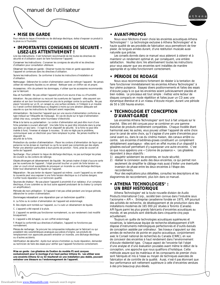



#### **• MISE EN GARDE**

Pour réduire le risque d'incendie ou de décharge électrique, évitez d'exposer ce produit à la pluie ou à l'humidité.

### **• IMPORTANTES CONSIGNES DE SÉCURITÉ – LISEZ-LES ATTENTIVEMENT !**

Lire les instructions : Il est fortement recommandé de lire toutes les directives de sécurité et d'utilisation avant de faire fonctionner l'appareil.

Conserver les instructions : Conserver les consignes de sécurité et les directives d'utilisation pour consultation ultérieure.

Observer les mises en garde : Observer toutes les mises en garde apposées sur l'appareil et contenues dans les directives d'utilisation.

Suivre les instructions : Se conformer à toutes les instructions d'installation et d'utilisation.

Nettoyage : Débrancher le cordon d'alimentation avant de nettoyer l'appareil. Ne jamais utiliser de nettoyants liquides ou en aérosol. Nettoyer avec un chiffon sec et propre.

Accessoires : Afin de prévenir les dommages, n'utiliser que les accessoires recommandés par le fabricant

Eau et humidité : Ne pas utiliser l'appareil près d'une source d'eau ou d'humidité.

Aération : Ne pas obstruer ou recouvrir les ouvertures de l'appareil - elles assurent son aération et son bon fonctionnement en plus de le protéger contre la surchauffe. Ne pas placer l'enceinte sur un lit, un canapé ou une surface similaire, ni l'intégrer à un meuble où il serait confiné (bibliothèque ou étagère) à moins qu'une aération adéquate soit assurée ou que les instructions du fabricant soient respectées.

Alimentation : Ne brancher l'appareil que sur une source d'alimentation conforme au type indiqué sur l'étiquette de marquage. En cas de doute sur le type d'alimentation utilisé chez vous, consulter votre fournisseur d'électricité.

Mise à la terre ou polarisation : Le cordon d'alimentation est peut-être muni d'une fiche polarisée à courant alternatif. Une telle fiche ne peut être introduite dans la prise que dans un seul sens - il s'agit là d'un dispositif de sécurité. Si la fiche ne peut être insérée à fond, l'inverser et essayer à nouveau. Si cela ne règle pas le problème, communiquer avec un électricien pour faire remplacer la prise. Ne jamais modifier le dispositif de

#### sécurité de la fiche

Protection du cordon d'alimentation : Placer les cordons d'alimentation de façon que personne ne les écrase en marchant ou qu'ils ne soient pas comprimés par des objets. Porter une attention particulière à leurs points de jonction : fiche, prise de courant et sortie de l'appareil.

Surcharge : Pour prévenir le risque de décharge électrique, ne pas surcharger les prises de courant ou les cordons de rallonge.

Objets étrangers et déversement de liquide : Ne jamais insérer d'objet d'aucune sorte par les ouvertures de l'appareil ; l'objet pourrait toucher un point de forte tension ou créer un court-circuit susceptible de provoquer un incendie ou une décharge électrique. Éviter tout déversement de liquide sur l'appareil.

Réparation : Ne pas tenter de réparer l'appareil soi-même ; ouvrir l'appareil ou en retirer le couvercle peut vous exposer à une forte tension électrique ou à d'autres dangers. Confier toute réparation à un technicien qualifié.

Sources de chaleur : Ne pas placer l'appareil à proximité d'un radiateur, d'un compteur électrique, d'une cuisinière ou de tout autre appareil produisant de la chaleur (y compris un amplificateur).

Période de non-utilisation : Si l'appareil n'est pas utilisé pendant une longue période, débrancher le cordon d'alimentation.

Dommages nécessitant une réparation par un technicien qualifié :

A. La fiche ou le cordon d'alimentation de l'appareil est endommagé.

B. Des objets sont tombés sur l'appareil, ou il a subi un déversement de liquide.

C. L'appareil a été exposé à la pluie.

D. L'appareil ne semble pas fonctionner normalement, ou son rendement s'est modifié brusquement.

E. L'appareil a été échappé, ou son coffret endommagé.

F. Malgré la conformité aux directives d'utilisation, l'appareil ne fonctionne pas normalement.

Pièces de rechange : Se procurer les composantes indiquées par le fabricant ou qui possèdent des caractéristiques analogues aux pièces d'origine. Les produits de remplacement non approuvés peuvent entraîner un incendie, une décharge électrique ou d'autres accidents.

Vérification de sécurité : Après tout service d'entretien ou toute réparation, demander au technicien de faire des essais pour vérifier que l'appareil fonctionne correctement.

*Mise en garde : Les glissières de fixation du modèle P1 sont conçues exclusivement pour le montage d'un haut-parleur Athena S1. Les utiliser avec une enceinte Athena S2 ou S3 résulterait en une installation peu stable, pouvant entraîner une blessure ou l'endommagement de l'appareil.*

### **• AVANT-PROPOS**

Nous vous félicitons d'avoir choisi les enceintes acoustiques Athena Technologies® ! La technologie exclusive à Athena Technologies® et la haute qualité de ses procédés de fabrication vous permettront de tirer plaisir, de longues années durant, d'une restitution musicale aussi naturelle que précise.

Les conseils donnés dans ce manuel vous aideront à obtenir et à maintenir un rendement optimal et, par conséquent, une entière satisfaction. Veuillez donc lire attentivement toutes les instructions pour vous assurer que vos enceintes sont installées de manière appropriée et qu'elles fonctionnent correctement.

#### **• PÉRIODE DE RODAGE**

Nous vous recommandons fortement de résister à la tentation de faire fonctionner immédiatement les enceintes Athena Technologies® à leur pleine puissance. Essayez divers positionnements et faites des essais d'écoute jusqu'à ce que les enceintes soient judicieusement placées et bien rodées. Le processus est tout simple : mettez votre lecteur de disques compacts en mode répétition et faites jouer un CD avec une dynamique étendue et à un niveau d'écoute moyen, durant une période de 50 à 100 heures environ.

### **• TECHNOLOGIE ET CONCEPTION D'AVANT-GARDE**

Les enceintes Athena Technologies® sont tout à fait uniques sur le marché. Elles ont été conçues pour se combiner en une gamme évolutive de produits entièrement compatibles. Chaque modèle étant harmonisé avec les autres, vous pouvez utiliser l'appareil de votre choix pour le canal de votre choix, qu'il s'agisse d'une paire d'enceintes pour canal avant ou, dans le cas du cinéma maison, des canaux arrière ou centre. Les enceintes d'extrêmes-graves constituent un complément véritablement avantageux - elles sont en effet munies d'un dispositif à glissières exclusif permettant d'y superposer une autre enceinte. C'est ce que nous appelons une « Colonne de puissance ». Les glissières répondent à deux objectifs :

- 1) assujettir solidement les enceintes, en toute sécurité;
- 2) réaliser la connexion audio des deux enceintes, ce qui permet non seulement de simplifier le câblage mais aussi d'éviter une éventuelle inversion de phase entre les deux enceintes à l'étape des raccordements.

Pour des explications plus détaillées, consultez les descriptions et les diagrammes de raccordement, plus loin dans ce manuel.

### **• ATHENA TECHNOLOGIES® : UN BREF HISTORIQUE**

Athena Technologies® est la toute nouvelle division de Audio Products International Corp., société bien connue dans l'industrie sous l'acronyme « API ». Entreprise canadienne fondée en 1975, API poursuit des activités de recherche, de développement et de production dans des installations modernes de 165 000 pi2 situées à Toronto (Canada). API figure parmi les plus grands fabricants d'enceintes acoustiques au monde, et ses produits sont distribués dans cinquante-cinq pays actuellement.

Toujours en quête de technologies acoustiques supérieures et novatrices, la talentueuse équipe de recherche-développement d'API dispose d'instruments métrologiques perfectionnés et d'outils évolués de conception assistée par ordinateur. Ses travaux s'appuient sur des années de recherche de pointe en psycho-acoustique, conjointement avec le Conseil national de recherches du Canada (CNRC), en vue de concevoir des enceintes à haut rendement dans l'environnement d'écoute résidentiel type. Chaque aspect de l'enceinte fait l'objet d'une analyse et d'une évaluation poussées avant même le début de la conception, une approche que nous qualifions d'holistique. Cette méthode assure que les matériaux et les composants de premier choix sont fabriqués et mis à l'essai au moyen de techniques avancées de fabrication et de contrôle de la qualité. Aussi, n'est-il pas étonnant que leur performance soit nettement supérieure à celle d'enceintes vendues à des prix beaucoup plus élevés.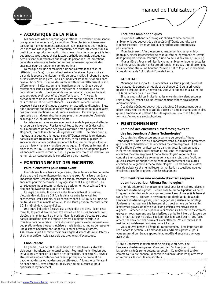



### **• ACOUSTIQUE DE LA PIÈCE**

Les enceintes Athena Technologies® offrent un excellent rendu sonore pratiquement n'importe où, à condition d'être placées judicieusement dans un bon environnement acoustique. L'emplacement des meubles, les dimensions de la pièce et les matériaux des murs influencent tous la qualité de la reproduction audio. Vous devez donc tenir compte à la fois des aspects acoustiques et des facteurs esthétiques, mais puisque ces derniers sont aussi variables que les goûts personnels, les indications générales ci-dessous se limiteront au positionnement approprié des enceintes pour un rendement sonore optimal.

La musique est une combinaison de sons directs (dans l'axe) et réfléchis (hors l'axe). Un son direct arrive à l'oreille en ligne droite à partir de la source d'émission, tandis qu'un son réfléchi rebondit d'abord sur les surfaces de la pièce - celles-ci modifient les rendus sonores dans l'axe ou hors l'axe. Comme des surfaces différentes réfléchissent le son différemment, l'idéal est de faire l'équilibre entre matériaux durs et revêtements souples, tant pour le mobilier et le plancher que pour la décoration murale. Une surabondance de matériaux souples (tapis et canapés) peut avoir pour effet d'étouffer le son. À l'inverse, la prépondérance de meubles et de planchers en dur donnera un rendu plus contrasté, et peut-être strident. Les surfaces réfléchissantes possèdent des caractéristiques d'absorption acoustique distinctes ; il est donc important que les murs réfléchissants de droite et de gauche aient des propriétés identiques, ou du moins similaires. Par exemple, une tapisserie ou un rideau absorbera une plus grande quantité d'énergie acoustique qu'une simple surface peinte.

La distance entre les enceintes et les limites de la pièce peut affecter le rendu dans le grave. Plus les enceintes se trouvent près des coins, plus la puissance de sortie des graves s'affirme ; mais plus elles s'en éloignent, moins la restitution des graves est fidèle. Une pièce dont la hauteur, la largeur et la longueur sont différentes relève le rendement dans les basses fréquences. Dans la mesure du possible, placez les enceintes de manière qu'elles rayonnent le long du mur le plus long en vue de mieux « remplir » la pièce de musique. En d'autres termes, si la pièce mesure 3 m (10 pi) de largeur sur 6 m (20 pi) de longueur, placez les enceintes contre le mur de 3 m. Il y aura ainsi moins de réflexion sur le mur et, par conséquent, la sonorité sera plus naturelle.

## **• POSITIONNEMENT DES ENCEINTES**

#### **Paire d'enceintes pour canal avant**

Pour obtenir la meilleure image stéréo, placez les enceintes de droite et de gauche à égale distance des murs latéraux. Par ailleurs, un écart important entre l'espace séparant la position d'écoute et chacune des enceintes pourrait déformer le paysage sonore et l'image stéréo. En conséquence, nous recommandons de positionner les enceintes à une distance équivalente de la position d'écoute.

En règle générale, la distance entre les enceintes et la position d'écoute devrait être de 1,5 fois la distance entre les enceintes elles-mêmes. Par exemple, si les enceintes sont à 1,8 m (6 pi) l'une de l'autre (distance minimale absolue), la meilleure position d'écoute serait à 2,4 m (9 pi) de chacune d'elles.

Une autre indication à suivre est la règle dite des tiers. Selon cette formule, la pièce d'écoute doit être divisée en trois : les enceintes sont placées à la limite avant du premier tiers, la position d'écoute se trouve dans le deuxième tiers et l'espace derrière l'auditeur constitue le troisième tiers de la pièce. Cette disposition peut s'avérer impossible ou peu pratique dans plusieurs intérieurs, mais tentez au moins de respecter une distance adéquate par rapport aux murs latéraux et arrière. Assurez-vous que l'enceinte n'est pas à égale distance des murs latéraux et du mur arrière - cela causerait des problèmes d'acoustique.

#### **Canal centre**

En général, près de 60 % de la bande son des films - surtout les dialogues - transitent par le canal centre. Pour maintenir l'illusion que les voix proviennent de la bouche des comédiens, l'enceinte C1 devrait être placée à égale distance des canaux principaux de droite et de gauche, au-dessus ou au-dessous du téléviseur. Alignez le baffle avant de l'enceinte C1 avec l'écran du téléviseur ou de la console, pour optimiser le rayonnement.

#### **Enceintes ambiophoniques**

Les produits Athena Technologies® choisis comme enceintes ambiophoniques peuvent être disposés à différents endroits dans la pièce d'écoute - les murs latéraux et arrière sont toutefois les plus courants.

Murs latéraux : Afin d'étendre au maximum le champ ambiophonique, placez les enceintes de chaque côté et légèrement en retrait de la principale position d'écoute, à une hauteur d'environ 1,8 m (6 pi).

Mur arrière : Pour maximiser le champ ambiophonique, orientez les enceintes vers la position d'écoute principale, mais pas trop directement. Elles devraient être à une hauteur d'environ 1,8 m (6 pi) et, idéalement, à une distance de 1,8 m (6 pi) l'une de l'autre.

#### **FACULTATIF**

Montage sur support : Les enceintes, sur leur support, devraient être placées légèrement en retrait et de chaque côté de la principale position d'écoute, dans un rayon pouvant varier de 0,3 m à 1,8 m (de 1 à 6 pi) derrière ou sur les côtés.

Si vous avez suivi ces indications, les enceintes devraient entourer l'aire d'écoute, créant ainsi un environnement sonore enveloppant (ambiophonique).

Ces règles générales peuvent être adaptées à l'agencement de la pièce ; elles vous aideront toutefois à créer un ample champ sonore ainsi qu'une ambiance se prêtant à tous les genres musicaux et à tous les formats d'encodage ambiophonique.

### **• POSITIONNEMENT**

#### **Combiné des enceintes d'extrêmes-graves et des haut-parleurs Athena Technologies®**

De toutes les idées entourant la gamme de produits Athena Technologies®, l'une des plus importantes visait à éliminer les problèmes que posent habituellement les enceintes d'extrêmes-graves. Il est en effet difficile d'éviter la discordance dans un décor lorsqu'on veut y intégrer des éléments aussi massifs et, souvent, encombrants. Les enceintes d'extrêmes-graves Athena Technologies® répondent au contraire à un concept de volumes verticaux, élancés, dans l'optique qu'elles servent de support et de zone de raccordement aux autres enceintes de la gamme Athena Technologies® : un tel ensemble offre plus de puissance et une meilleure harmonisation acoustique que les enceintes d'extrêmes-graves utilisées séparément.

#### **Comment relier une enceinte d'extrêmes-graves et un haut-parleur Athena Technologies®**

Une fois déterminé l'emplacement idéal pour les enceintes, placez-y l'enceinte d'extrêmes-graves. Retirez ensuite du haut-parleur les deux longues bandes de caoutchouc qui recouvrent ses glissières (à la base et sur la face avant). Enlevez le revêtement de plastique du dessus de l'enceinte d'extrêmes-graves, pour dégager ses glissières de montage. Soulevez le haut-parleur à la hauteur et du côté arrière de l'enceinte d'extrêmes-graves, de façon que leurs glissières respectives soient alignées. Ramenez le haut-parleur vers l'avant sur l'enceinte d'extrêmesgraves en vous assurant que les glissières s'emboîtent bien, et jusqu'à ce que le haut-parleur ne puisse coulisser plus loin vers l'avant. Les faces arrière des deux coffrets devraient alors affleurer. Vos enceintes sont maintenant solidement arrimées l'une à l'autre.

Vous pouvez passer à l'étape du raccordement. Il est important de lire d'abord la section « Commandes des extrêmes-graves », pour vous assurer d'un réglage approprié au modèle d'enceinte que vous avez choisi.

*NOTA : Conservez le revêtement de plastique du dessus de l'enceinte d'extrêmes-graves. Vous pourriez l'utiliser pour couvrir les boutons situés sur le devant, au besoin. Ce revêtement se fixe comme tout autre panneau d'enceinte ordinaire, dans les quatre trous en retrait sur le module amplificateur.*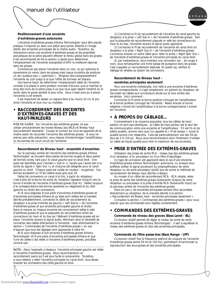

#### **Positionnement d'une enceinte d'extrêmes-graves autonome**

L'enceinte d'extrêmes-graves Athena Technologies® peut être placée presque n'importe où dans une pièce sans porter atteinte à l'image stéréo des enceintes principales de la chaîne audio. Toutefois, les interactions entre une enceinte d'extrêmes-graves et les propriétés acoustiques de la pièce peuvent affecter le rendu global dans les graves. Il est recommandé de lire la section ci-après pour déterminer l'emplacement de l'enceinte susceptible d'offrir la meilleure réponse dans les graves.

Commencez par placer l'enceinte dans un coin, ce qui optimise le dynamisme du rendu dans les graves mais risque toutefois de produire un son quelque peu « caverneux ». Éloignez alors progressivement l'enceinte du coin jusqu'à ce que l'effet de tonneau ait disparu.

Une bonne façon de déterminer l'emplacement idéal de l'enceinte consiste à la placer à votre position normale d'écoute, puis à marcher le long des murs de la pièce jusqu'à ce que vous ayez repéré l'endroit où le rendu dans le grave semble le plus riche. Vous n'avez plus qu'à placer l'enceinte à cet endroit.

Il est important de laisser un espace libre d'au moins 10 cm (4 po) entre l'enceinte et tout mur ou mobilier.

### **• RACCORDEMENT DES ENCEINTES D'EXTRÊMES-GRAVES ET DES HAUT-PARLEURS**

*MISE EN GARDE : Sur l'enceinte des extrêmes-graves, ne pas utiliser simultanément les modes Niveau bas (RCA) et Niveau haut (raccordement standard). Couper le contact sur tous les appareils de la chaîne avant de raccorder l'enceinte des extrêmes-graves. Si vous ne prenez pas cette précaution, vous risquez d'endommager l'amplificateur ou les bandes de court-circuit de l'enceinte.*

#### **Raccordement de Niveau haut - ensemble d'enceintes**

Sur le panneau arrière de l'enceinte des extrêmes-graves Athena Technologies® se trouvent deux paires de bornes rouges et deux paires de bornes noires, tant pour le canal gauche que le canal droit. Une paire est identifiée pour l'entrée (« Sub In »), tandis que l'autre sert à la sortie du signal (« Spkr Out »), et chacune est désignée pour le canal gauche ou droit. Chaque paire est codée en couleur - rouge/noir. Ces bornes acceptent un fil de calibre aussi gros que 16.

Faites les connexions un canal à la fois, à partir du récepteur, c'est-à-dire de la borne de sortie du récepteur (Speaker Output) vers la borne d'entrée de l'enceinte d'extrêmes-graves (Sub In). Veillez toujours à la correspondance des bornes (positives ou négatives) et du côté (gauche ou droit) des connexions.

A) Si vous disposez d'une paire d'enceintes d'extrêmes-graves et d'enceintes principales Athena et qu'elles sont reliées de la manière décrite précédemment, connectez le câble de raccordement du récepteur à la prise d'entrée de gauche « Left Sub-In » de l'enceinte d'extrêmes-graves et aux enceintes principales gauche et droite. Dans la mesure où chaque enceinte est correctement reliée à celle d'extrêmes-graves et que la plaquette de raccordement entre les connecteurs du haut et du bas sur l'élément d'extrêmes-graves est en place, l'enceinte recevra le signal audio, éliminant ainsi la nécessité de connecter des câbles directement à l'enceinte. Lisez attentivement la section « Commandes de l'enceinte d'extrêmes-graves » en vue d'assurer que tous les réglages sont appropriés à cette fin.

B) Si vous disposez d'une enceinte d'extrêmes-graves Athena Technologies® et d'une paire d'enceintes principales Athena et que l'une de celles-ci est reliée à l'enceinte d'extrêmes-graves, procédez comme suit :

*NOTA : Dans l'exemple ci-dessous, l'enceinte principale gauche est reliée à l'enceinte d'extrêmes-graves. Nous recommandons ce raccordement parce qu'il est plus facile à comprendre. Toutefois, si vous désirez y relier l'enceinte principale du canal droit, vous devez inverser les connexions des côtés gauche et droit.*

1) Connectez le fil de raccordement de l'enceinte de canal gauche du récepteur à la prise « Left Sub In » de l'enceinte d'extrêmes-graves. Tant que la plaquette de raccordement plaquée or relie les connecteurs du haut et du bas, l'enceinte recevra le signal audio approprié.

2) Connectez le fil de raccordement de l'enceinte de canal droit du récepteur à la prise « Right Sub In » de l'enceinte d'extrêmes-graves. Connectez ensuite un autre câble pour relier la sortie « Right Spkr Out » de l'enceinte d'extrêmes-graves et l'enceinte principale du canal droit.

Si, par inadvertance, vous inversiez une connexion (ex. : de rouge à noir), vous remarqueriez une forte baisse de puissance dans les graves. Cela s'appelle un raccordement déphasé. En pareil cas, vérifiez le câblage et refaites au besoin les connexions.

#### **Raccordement de Niveau haut enceintes principales seulement**

Pour une enceinte individuelle, non relié à une enceinte d'extrêmesgraves correspondante, il s'agit simplement, en partant du récepteur, de raccorder les câbles aux connecteurs situés sur la face arrière des enceintes. Voici comment :

Connectez le fil entre la borne positive (+/rouge) de l'amplificateur et la borne positive (+/rouge) de l'enceinte. Reliez ensuite la borne négative (-/noire) de l'amplificateur à la borne correspondante (-/noire) de l'enceinte.

### **• À PROPOS DU CÂBLAGE…**

Contrairement à la croyance populaire, tous les câbles de hautparleur ne sont pas identiques. Le câble de haut-parleur est le seul lien de communication entre une enceinte et l'amplificateur. S'il est fin et de piètre qualité, comme celui que l'on appelle le « fil de lampe », toute la qualité sonore s'en ressentira. Cela est particulièrement vrai des fils de plus de 3 m (10 pi). Nous vous recommandons donc fortement d'utiliser un câble de haute qualité pour tirer le maximum de vos enceintes.

### **• PRISE D'ENTRÉE DES EXTRÊMES-GRAVES**

Utilisation des prises de sortie RCA - niveau bas des extrêmes-graves d'un récepteur, d'un processeur ou d'un filtre d'aiguillage.

Ce type de connexion est approprié dans le cas d'une enceinte d'extrêmes-graves Athena Technologies® autonome, ou lorsque vous préférez utiliser le signal provenant du préamplificateur de votre récepteur ou de votre processeur plutôt que de suivre la méthode de raccordement de Niveau haut décrite ci-dessus.

Au moyen d'un câble de raccordement RCA - RCA simple, reliez la prise de sortie des extrêmes-graves (Subwoofer Output) de votre récepteur ou processeur à la prise d'entrée RCA (Subwoofer Input) sur le panneau arrière de l'enceinte des extrêmes-graves.

Dans ce cas-ci, les enceintes principales doivent être raccordées directement au récepteur, de la manière décrite à la section

« Raccordement de Niveau haut - enceintes principales seulement ». Consultez la section « Commandes des extrêmes-graves » pour vous assurer que ces commandes sont réglées correctement.

### **• COMMANDES DES EXTRÊMES-GRAVES**

#### **Commande de niveau des graves (Bass Level - BL)**

Ce bouton rotatif permet de régler le niveau de sortie de votre enceinte d'extrêmes-graves Athena Technologies® ; il sert à équilibrer le niveau des extrêmes-graves et celui des enceintes principales.

#### **Commande du filtre passe-bas (Bass Range - LPF)**

Ce bouton rotatif fixe la fréquence plafond de coupure de l'enceinte d'extrêmes-graves (entre 50 Hz et 150 Hz), permettant d'harmoniser la reproduction des sous-graves et des enceintes principales.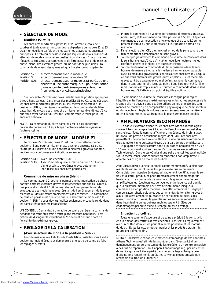

### **• SÉLECTEUR DE MODE**

#### **Modèles P2 et P3**

Les enceintes d'extrêmes-graves P2 et P3 offrent le choix de 2 courbes d'égalisation en fonction des haut-parleurs de modèle S2 et S3, créant un équilibre parfait entre les extrêmes-graves et les enceintes principales. Le tableau ci-dessous indique laquelle des trois positions du sélecteur de mode choisir, et en quelles circonstances. Chacun de ces réglages se substitue aux commandes de filtre passe-bas et de mise en phase (blend) des extrêmes-graves, qui ne sont donc plus utiles. La commande de niveau des graves est quant à elle toujours opérante.

- Position S2 : si raccordement avec le modèle S2
- Position S3 : si raccordement avec le modèle S3

Position SUB : si raccordement avec les modèles S1 ou C1 ou une enceinte d'une autre marque, ou pour l'utilisation d'une enceinte d'extrêmes-graves autonome (non reliée aux enceintes principales)

Sur l'enceinte d'extrêmes-graves, sélectionnez la position appropriée à votre haut-parleur. Dans le cas des modèles S1 ou C1 combinés avec les enceintes d'extrêmes-graves P2 ou P3, mettez le sélecteur à la position « SUB », puis réglez manuellement les commandes de filtre passe-bas, de niveau des graves et de mise en phase (blend) jusqu'à ce que vous soyez satisfait du résultat - comme vous le feriez pour une enceinte ordinaire.

*NOTA : La commande du filtre passe-bas est la plus importante puisqu'elle détermine " l'équilibrage " entre les extrêmes-graves et l'autre enceinte.* 

### **• SÉLECTEUR DE MODE - MODÈLE P1**

Le modèle d'extrêmes-graves P1 est muni d'un sélecteur à deux positions : l'une pour la mise en phase avec une enceinte S1 ou C1, l'autre pour l'utilisation d'une enceinte d'extrêmes-graves autonome. Veuillez vous conformer aux indications suivantes :

Position S1/C1 : Avec une enceinte S1 ou C1

Position SUB : Avec n'importe quelle enceinte ou pour l'utilisation d'une enceinte d'extrêmes-graves autonome (non reliée aux enceintes principales)

#### **Commande de mise en phase (blend)**

Ce commutateur à 2 positions permet une harmonisation de phase parfaite entre les extrêmes-graves et les enceintes principales. Grâce à une plage allant de 0 à 180 degrés, elle peut compenser les effets acoustiques des médiums-graves résultant de l'aménagement de la pièce d'écoute ou des différents emplacements des enceintes. La commande de mise en phase n'est opérante que si le sélecteur de mode est à la position " SUB " ; vous devriez l'utiliser seulement lorsque le rendu dans les basses fréquences est insatisfaisant.

*UN CONSEIL : Demandez à une autre personne de régler la commande pendant que vous êtes assis à votre place d'écoute habituelle. Il est difficile de distinguer les variations si l'on se tient debout à côté de l'enceinte des extrêmes-graves.* 

### **• RÉGLAGE DE LA CALIBRATION**

#### **(Avec sélecteur de mode à la position « Sub »)**

Pour de meilleurs résultats lors de l'installation, installez-vous à votre position normale d'écoute et demandez à une autre personne de faire les réglages suivants.

1. Mettre la commande de volume de l'enceinte d'extrêmes-graves au niveau zéro, et la commande du filtre passe-bas à 50 Hz. Régler les commandes de compensation physiologique et de tonalité sur le préamplificateur ou sur le processeur à leur position normale ou médiane.

*manuel de l'utilisateur*

- 2. Faire la lecture d'un CD, d'un microsillon ou de la piste sonore d'un film comportant passablement de sons graves.
- 3. Tourner progressivement la commande de volume de l'enceinte dans le sens horaire jusqu'à ce qu'il y ait un équilibre neutre entre les extrêmes-graves et le signal des autres enceintes.
- 4. Tourner lentement la commande du filtre passe-bas dans le sens horaire, de manière à obtenir la meilleure harmonisation possible avec les médiums-graves rendus par les autres enceintes (ou jusqu'à ce que vous obteniez des graves lourds et pleins). Si les médiumsgraves sont trop caverneux ou mal définis, ramener la commande dans le sens anti-horaire jusqu'au point d'équilibre recherché. Si le rendu sonore est trop « mince », tourner la commande dans le sens horaire jusqu'à l'atteinte du point d'équilibre optimal.

La commande de volume de l'enceinte est conçue pour régler l'équilibre entre l'enceinte d'extrêmes-graves et les autres enceintes de la chaîne ; elle ne devrait donc pas être utilisée en lieu et place des commandes de tonalité ou de compensation physiologique de l'amplificateur ou du récepteur. Réglez le volume des extrêmes-graves de manière à obtenir la réponse en basse fréquence la plus harmonieuse possible.

### **• AMPLIFICATEURS RECOMMANDÉS**

De par leur extrême efficacité, les enceintes Athena Technologies® s'avèrent très peu exigeantes à l'égard de l'amplificateur auquel elles sont reliées. Toute la gamme affiche une impédance de 8 ohms avec un niveau de pression acoustique moyen de 93 dB. Les enceintes permettent une écoute à volume élevé sous une puissance moyenne et elles admettent une puissance élevée de la part de gros amplificateurs.

La plupart des amplificateurs dont la puissance nominale va de 20 à 100 watts par canal sont en mesure d'exciter les enceintes Athena Technologies®. Dans le cas où plus d'une paire d'enceintes serait utilisée sur un même canal, vérifier auprès du fabricant si son amplificateur accepte des charges de moins de 8 ohms.

*AVERTISSEMENT : Lorsqu'un amplificateur est surchargé, la distorsion résultante est en fait plusieurs fois plus élevée que sa puissance . Cette distorsion, appelée écrêtage, est facilement identifiable par le son flou et distordu produit, et peut irrémédiablement endommager un haut-parleur. La commande de volume sur la grande majorité des amplificateurs et récepteurs est de type logarithmique, ce qui signifie que la puissance maximale peut être atteinte même lorsque la commande est en position médiane. Les effets combinés du réglage du compensateur physiologique et des commandes de tonalité - graves et aigus - peuvent amener la puissance de sortie bien au-dessus des niveaux nominaux. Aussi, la garantie sur les enceintes sera-t-elle nulle dans l'éventualité où les bobines mobiles seraient brûlées ou endommagées par suite d'une surcharge ou d'un écrêtage.* 

#### **Entretien du coffret**

Toute une somme d'expertise et de soins a présidé à la construction et à la finition des coffrets de vos enceintes. Essuyez-les régulièrement avec un chiffon doux et sec pour éliminer la poussière et les marques de doigt. Évitez les essuie-tout en papier et les produits abrasifs - ils pourraient abîmer le fini.

*NOTA : Conserver le carton et le matériel d'emballage de vos enceintes Athena Technologies® afin de les protéger dans l'éventualité d'un déménagement ou de la nécessité de les expédier à un centre de service à des fins de réparation. Tout appareil endommagé reçu par un centre de service qui aurait été expédié dans un emballage autre que celui d'origine sera réparé, remis en état et convenablement emballé puis réexpédié aux frais de l'utilisateur.*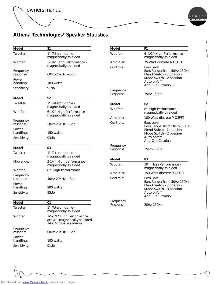

## **Athena Technologies® Speaker Statistics**

| Model                           | S <sub>1</sub>                                                                          | <b>Model</b>           | P <sub>1</sub>                                                                                            |
|---------------------------------|-----------------------------------------------------------------------------------------|------------------------|-----------------------------------------------------------------------------------------------------------|
| Tweeter:                        | 1" Teteron dome -<br>magnetically shielded                                              | Woofer:                | 6 -1/2" High Performance -<br>magnetically shielded                                                       |
| <i>Woofer:</i>                  | 5-1/4" High Performance -                                                               | Amplifier:             | 75 Watt discrete MOSFET                                                                                   |
| Frequency<br>response:<br>Power | magnetically shielded<br>$60$ Hz- $20$ KHz $+3$ db                                      | Controls:              | <b>Bass Level</b><br>Bass Range: from 50Hz-150Hz<br>Blend Switch - 2 position<br>Mode Switch - 2 position |
| handling:                       | 100 watts                                                                               |                        | Auto on/off<br>Anti Clip Circuitry                                                                        |
| Sensitivity:                    | 91db                                                                                    | Frequency<br>Response: | <i>35Hz-150Hz</i>                                                                                         |
| <b>Model</b>                    | S <sub>2</sub>                                                                          |                        |                                                                                                           |
| Tweeter:                        | 1" Teteron dome -<br>magnetically shielded                                              | <b>Model</b>           | P <sub>2</sub>                                                                                            |
| <i>Woofer:</i>                  | 6-1/2" High Performance -<br>magnetically shielded                                      | Woofer:                | 8" High Performance -<br>magnetically shielded                                                            |
| Frequency                       |                                                                                         | Amplifier:             | 100 Watt discrete MOSFET                                                                                  |
| response:<br>Power              | 50Hz-20KHz +-3db                                                                        | Controls:              | <b>Bass Level</b><br>Bass Range: from 50Hz-150Hz<br>Blend Switch - 2 position                             |
| handling:<br>Sensitivity:       | 150 watts<br>93db                                                                       |                        | Mode Switch - 2 position<br>Auto on/off                                                                   |
|                                 |                                                                                         |                        | Anti Clip Circuitry                                                                                       |
| <b>Model</b>                    | S <sub>3</sub>                                                                          | Frequency<br>Response: | 25Hz-150Hz                                                                                                |
| Tweeter:                        | 1" Teteron dome -<br>magnetically shielded                                              |                        |                                                                                                           |
| Midrange:                       | 5-1/4" High performance -                                                               | <b>Model</b>           | P3                                                                                                        |
|                                 | magnetically shielded                                                                   | Woofer:                | 10 " High Performance -<br>magnetically shielded                                                          |
| Woofer:                         | 8 " High Performance                                                                    | Amplifier:             | 150 Watt discrete MOSFET                                                                                  |
| Frequency<br>response:          | 40Hz-20KHz +-3db                                                                        | Controls:              | <b>Bass Level</b><br>Bass Range: from 50Hz-150Hz                                                          |
| Power<br>handling:              | 200 watts                                                                               |                        | Blend Switch - 2 position                                                                                 |
| Sensitivity:                    | 95db                                                                                    |                        | Mode Switch - 3 position<br>Auto on/off<br>Anti Clip Circuitry                                            |
| <b>Model</b>                    | C1                                                                                      | Frequency              |                                                                                                           |
| Tweeter:                        | 1" Teteron dome -<br>magnetically shielded                                              | Response:              | 20Hz-150Hz                                                                                                |
| Woofer:                         | 1-5-1/4" High Performance<br>active - magnetically shielded<br>1-6-1/2 passive radiator |                        |                                                                                                           |
| Frequency<br>response:          | $60$ Hz- $20$ KHz $+3$ db                                                               |                        |                                                                                                           |
| Power<br>handling:              | 100 watts                                                                               |                        |                                                                                                           |
| Sensitivity:                    | 91db                                                                                    |                        |                                                                                                           |
|                                 |                                                                                         |                        |                                                                                                           |